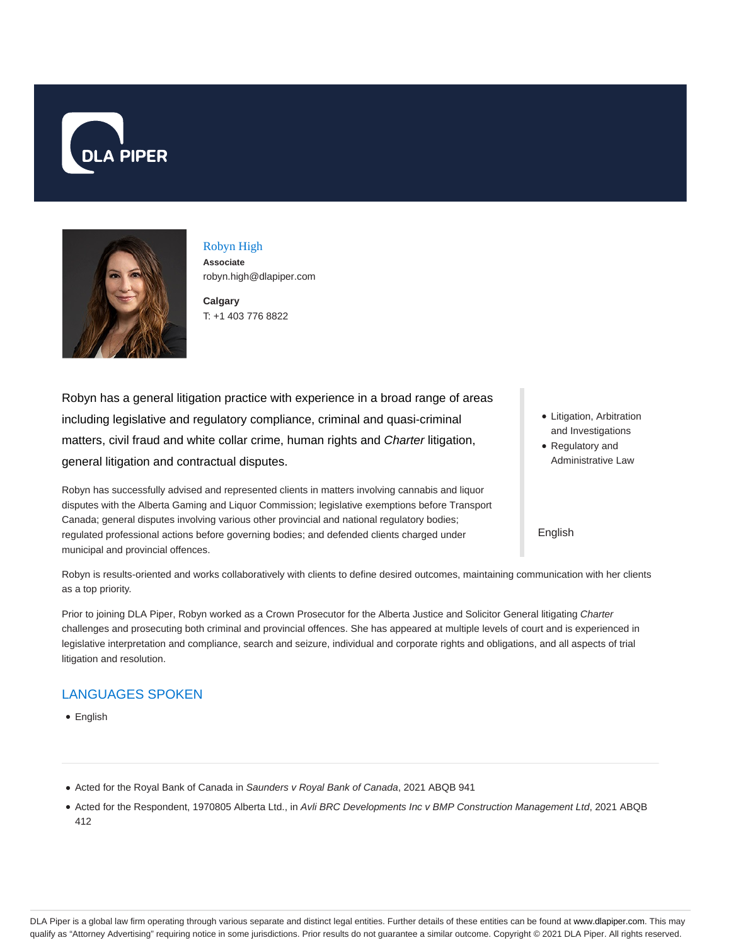



Robyn High **Associate** robyn.high@dlapiper.com

**Calgary** T: +1 403 776 8822

Robyn has a general litigation practice with experience in a broad range of areas including legislative and regulatory compliance, criminal and quasi-criminal matters, civil fraud and white collar crime, human rights and Charter litigation, general litigation and contractual disputes.

Robyn has successfully advised and represented clients in matters involving cannabis and liquor disputes with the Alberta Gaming and Liquor Commission; legislative exemptions before Transport Canada; general disputes involving various other provincial and national regulatory bodies; regulated professional actions before governing bodies; and defended clients charged under municipal and provincial offences.

- Litigation, Arbitration and Investigations Regulatory and
- Administrative Law

### English

Robyn is results-oriented and works collaboratively with clients to define desired outcomes, maintaining communication with her clients as a top priority.

Prior to joining DLA Piper, Robyn worked as a Crown Prosecutor for the Alberta Justice and Solicitor General litigating Charter challenges and prosecuting both criminal and provincial offences. She has appeared at multiple levels of court and is experienced in legislative interpretation and compliance, search and seizure, individual and corporate rights and obligations, and all aspects of trial litigation and resolution.

## LANGUAGES SPOKEN

• English

- Acted for the Royal Bank of Canada in Saunders v Royal Bank of Canada, 2021 ABQB 941
- Acted for the Respondent, 1970805 Alberta Ltd., in Avli BRC Developments Inc v BMP Construction Management Ltd, 2021 ABQB 412